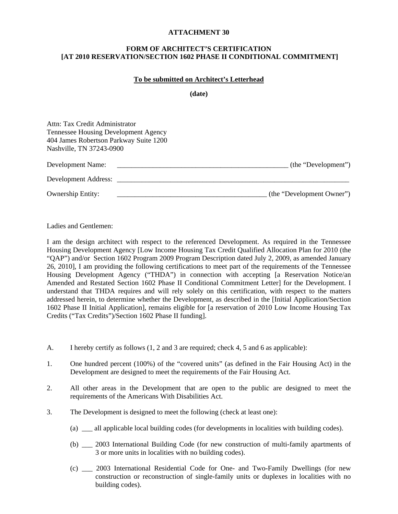## **ATTACHMENT 30**

## **FORM OF ARCHITECT'S CERTIFICATION [AT 2010 RESERVATION/SECTION 1602 PHASE II CONDITIONAL COMMITMENT]**

## **To be submitted on Architect's Letterhead**

**(date)** 

| Attn: Tax Credit Administrator<br><b>Tennessee Housing Development Agency</b><br>404 James Robertson Parkway Suite 1200 |                           |
|-------------------------------------------------------------------------------------------------------------------------|---------------------------|
| Nashville, TN 37243-0900                                                                                                |                           |
| Development Name:                                                                                                       | (the "Development")       |
| Development Address:                                                                                                    |                           |
| <b>Ownership Entity:</b>                                                                                                | (the "Development Owner") |

Ladies and Gentlemen:

I am the design architect with respect to the referenced Development. As required in the Tennessee Housing Development Agency [Low Income Housing Tax Credit Qualified Allocation Plan for 2010 (the "QAP") and/or Section 1602 Program 2009 Program Description dated July 2, 2009, as amended January 26, 2010], I am providing the following certifications to meet part of the requirements of the Tennessee Housing Development Agency ("THDA") in connection with accepting [a Reservation Notice/an Amended and Restated Section 1602 Phase II Conditional Commitment Letter] for the Development. I understand that THDA requires and will rely solely on this certification, with respect to the matters addressed herein, to determine whether the Development, as described in the [Initial Application/Section 1602 Phase II Initial Application], remains eligible for [a reservation of 2010 Low Income Housing Tax Credits ("Tax Credits")/Section 1602 Phase II funding].

- A. I hereby certify as follows (1, 2 and 3 are required; check 4, 5 and 6 as applicable):
- 1. One hundred percent (100%) of the "covered units" (as defined in the Fair Housing Act) in the Development are designed to meet the requirements of the Fair Housing Act.
- 2. All other areas in the Development that are open to the public are designed to meet the requirements of the Americans With Disabilities Act.
- 3. The Development is designed to meet the following (check at least one):
	- (a) \_\_\_ all applicable local building codes (for developments in localities with building codes).
	- (b) \_\_\_ 2003 International Building Code (for new construction of multi-family apartments of 3 or more units in localities with no building codes).
	- (c) \_\_\_ 2003 International Residential Code for One- and Two-Family Dwellings (for new construction or reconstruction of single-family units or duplexes in localities with no building codes).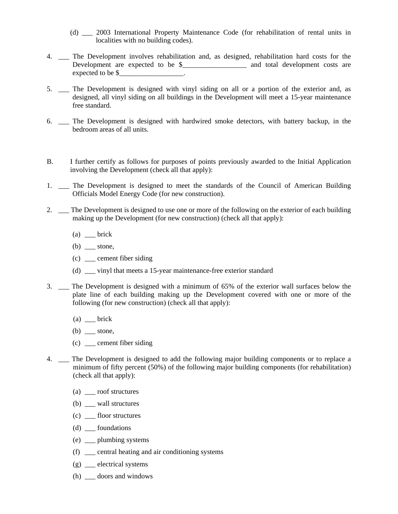- (d) \_\_\_ 2003 International Property Maintenance Code (for rehabilitation of rental units in localities with no building codes).
- 4. \_\_\_ The Development involves rehabilitation and, as designed, rehabilitation hard costs for the Development are expected to be \$\_\_\_\_\_\_\_\_\_\_\_\_\_\_\_\_\_\_\_ and total development costs are expected to be \$\_\_\_\_\_\_\_\_\_\_\_\_\_\_\_\_\_\_\_.
- 5. \_\_\_ The Development is designed with vinyl siding on all or a portion of the exterior and, as designed, all vinyl siding on all buildings in the Development will meet a 15-year maintenance free standard.
- 6. \_\_\_ The Development is designed with hardwired smoke detectors, with battery backup, in the bedroom areas of all units.
- B. I further certify as follows for purposes of points previously awarded to the Initial Application involving the Development (check all that apply):
- 1. \_\_\_ The Development is designed to meet the standards of the Council of American Building Officials Model Energy Code (for new construction).
- 2. \_\_ The Development is designed to use one or more of the following on the exterior of each building making up the Development (for new construction) (check all that apply):
	- $(a)$  \_\_ brick
	- $(b)$  \_\_\_ stone,
	- (c) \_\_\_ cement fiber siding
	- (d) \_\_\_ vinyl that meets a 15-year maintenance-free exterior standard
- 3. \_\_\_ The Development is designed with a minimum of 65% of the exterior wall surfaces below the plate line of each building making up the Development covered with one or more of the following (for new construction) (check all that apply):
	- $(a)$  \_\_\_ brick
	- $(b)$  \_\_\_ stone,
	- (c) \_\_\_ cement fiber siding
- 4. \_\_\_ The Development is designed to add the following major building components or to replace a minimum of fifty percent (50%) of the following major building components (for rehabilitation) (check all that apply):
	- (a) \_\_\_ roof structures
	- (b) \_\_\_ wall structures
	- (c) \_\_\_ floor structures
	- (d) \_\_\_ foundations
	- (e) \_\_\_ plumbing systems
	- $(f)$  \_ central heating and air conditioning systems
	- (g) \_\_\_ electrical systems
	- (h) \_\_\_ doors and windows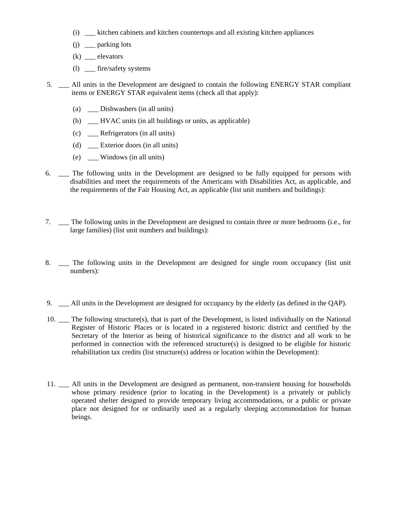- (i) \_\_\_ kitchen cabinets and kitchen countertops and all existing kitchen appliances
- (j) \_\_\_ parking lots
- $(k)$  \_\_\_\_ elevators
- (l) \_\_\_ fire/safety systems
- 5. \_\_\_ All units in the Development are designed to contain the following ENERGY STAR compliant items or ENERGY STAR equivalent items (check all that apply):
	- (a) \_\_\_ Dishwashers (in all units)
	- (b) \_\_ HVAC units (in all buildings or units, as applicable)
	- (c) \_\_\_ Refrigerators (in all units)
	- (d) \_\_\_ Exterior doors (in all units)
	- (e) \_\_\_ Windows (in all units)
- 6. \_\_\_ The following units in the Development are designed to be fully equipped for persons with disabilities and meet the requirements of the Americans with Disabilities Act, as applicable, and the requirements of the Fair Housing Act, as applicable (list unit numbers and buildings):
- 7. \_\_\_ The following units in the Development are designed to contain three or more bedrooms (i.e., for large families) (list unit numbers and buildings):
- 8. \_\_\_ The following units in the Development are designed for single room occupancy (list unit numbers):
- 9. \_\_\_ All units in the Development are designed for occupancy by the elderly (as defined in the QAP).
- 10. \_\_\_ The following structure(s), that is part of the Development, is listed individually on the National Register of Historic Places or is located in a registered historic district and certified by the Secretary of the Interior as being of historical significance to the district and all work to be performed in connection with the referenced structure(s) is designed to be eligible for historic rehabilitation tax credits (list structure(s) address or location within the Development):
- 11. \_\_\_ All units in the Development are designed as permanent, non-transient housing for households whose primary residence (prior to locating in the Development) is a privately or publicly operated shelter designed to provide temporary living accommodations, or a public or private place not designed for or ordinarily used as a regularly sleeping accommodation for human beings.